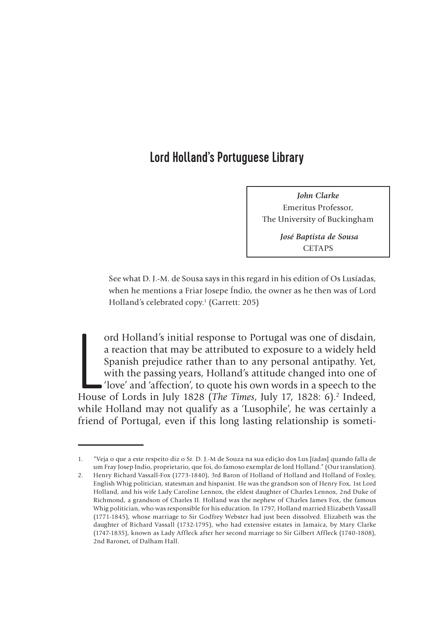# Lord Holland's Portuguese Library

*John Clarke*  Emeritus Professor, The University of Buckingham

> *José Baptista de Sousa* **CETAPS**

See what D. J.-M. de Sousa says in this regard in his edition of Os Lusíadas, when he mentions a Friar Josepe Índio, the owner as he then was of Lord Holland's celebrated copy.<sup>1</sup> (Garrett: 205)

ord Holland's initial response to Portugal was one of disdain,<br>a reaction that may be attributed to exposure to a widely held<br>Spanish prejudice rather than to any personal antipathy. Yet,<br>with the passing years, Holland's ord Holland's initial response to Portugal was one of disdain, a reaction that may be attributed to exposure to a widely held Spanish prejudice rather than to any personal antipathy. Yet, with the passing years, Holland's attitude changed into one of 'love' and 'affection', to quote his own words in a speech to the while Holland may not qualify as a 'Lusophile', he was certainly a friend of Portugal, even if this long lasting relationship is someti-

<sup>1.</sup> "Veja o que a este respeito diz o Sr. D. J.-M de Souza na sua edição dos Lus.[íadas] quando falla de um Fray Josep Indio, proprietario, que foi, do famoso exemplar de lord Holland." (Our translation).

<sup>2.</sup> Henry Richard Vassall-Fox (1773-1840), 3rd Baron of Holland of Holland and Holland of Foxley, English Whig politician, statesman and hispanist. He was the grandson son of Henry Fox, 1st Lord Holland, and his wife Lady Caroline Lennox, the eldest daughter of Charles Lennox, 2nd Duke of Richmond, a grandson of Charles II. Holland was the nephew of Charles James Fox, the famous Whig politician, who was responsible for his education. In 1797, Holland married Elizabeth Vassall (1771-1845), whose marriage to Sir Godfrey Webster had just been dissolved. Elizabeth was the daughter of Richard Vassall (1732-1795), who had extensive estates in Jamaica, by Mary Clarke (1747-1835), known as Lady Affleck after her second marriage to Sir Gilbert Affleck (1740-1808), 2nd Baronet, of Dalham Hall.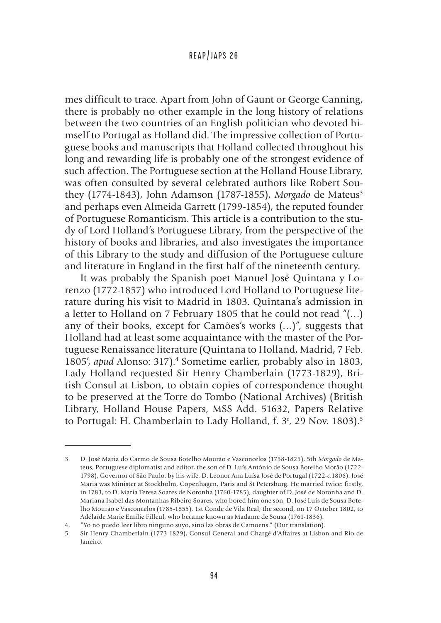mes difficult to trace. Apart from John of Gaunt or George Canning, there is probably no other example in the long history of relations between the two countries of an English politician who devoted himself to Portugal as Holland did. The impressive collection of Portuguese books and manuscripts that Holland collected throughout his long and rewarding life is probably one of the strongest evidence of such affection. The Portuguese section at the Holland House Library, was often consulted by several celebrated authors like Robert Southey (1774-1843), John Adamson (1787-1855), *Morgado* de Mateus<sup>3</sup> and perhaps even Almeida Garrett (1799-1854), the reputed founder of Portuguese Romanticism. This article is a contribution to the study of Lord Holland's Portuguese Library, from the perspective of the history of books and libraries, and also investigates the importance of this Library to the study and diffusion of the Portuguese culture and literature in England in the first half of the nineteenth century.

It was probably the Spanish poet Manuel José Quintana y Lorenzo (1772-1857) who introduced Lord Holland to Portuguese literature during his visit to Madrid in 1803. Quintana's admission in a letter to Holland on 7 February 1805 that he could not read "(…) any of their books, except for Camões's works (…)", suggests that Holland had at least some acquaintance with the master of the Portuguese Renaissance literature (Quintana to Holland, Madrid, 7 Feb. 1805', apud Alonso: 317).<sup>4</sup> Sometime earlier, probably also in 1803, Lady Holland requested Sir Henry Chamberlain (1773-1829), British Consul at Lisbon, to obtain copies of correspondence thought to be preserved at the Torre do Tombo (National Archives) (British Library, Holland House Papers, MSS Add. 51632, Papers Relative to Portugal: H. Chamberlain to Lady Holland, f. 3<sup>r</sup>, 29 Nov. 1803).<sup>5</sup>

<sup>3.</sup> D. José Maria do Carmo de Sousa Botelho Mourão e Vasconcelos (1758-1825), 5th *Morgado* de Mateus, Portuguese diplomatist and editor, the son of D. Luís António de Sousa Botelho Morão (1722- 1798), Governor of São Paulo, by his wife, D. Leonor Ana Luísa José de Portugal (1722-*c*.1806). José Maria was Minister at Stockholm, Copenhagen, Paris and St Petersburg. He married twice: firstly, in 1783, to D. Maria Teresa Soares de Noronha (1760-1785), daughter of D. José de Noronha and D. Mariana Isabel das Montanhas Ribeiro Soares, who bored him one son, D. José Luís de Sousa Botelho Mourão e Vasconcelos (1785-1855), 1st Conde de Vila Real; the second, on 17 October 1802, to Adélaïde Marie Emilie Filleul, who became known as Madame de Sousa (1761-1836).

<sup>4.</sup> "Yo no puedo leer libro ninguno suyo, sino las obras de Camoens." (Our translation).

<sup>5.</sup> Sir Henry Chamberlain (1773-1829), Consul General and Chargé d'Affaires at Lisbon and Rio de Janeiro.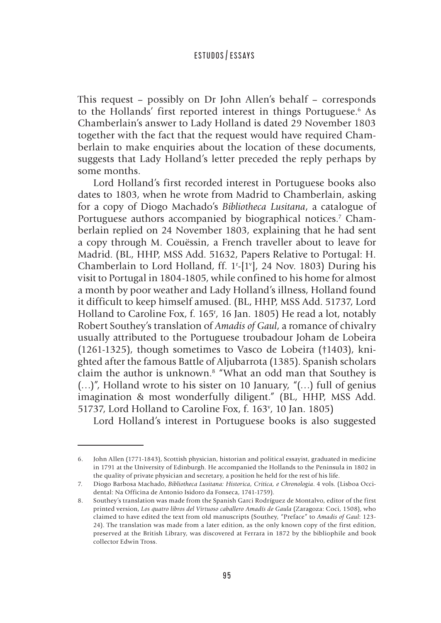This request – possibly on Dr John Allen's behalf – corresponds to the Hollands' first reported interest in things Portuguese.<sup>6</sup> As Chamberlain's answer to Lady Holland is dated 29 November 1803 together with the fact that the request would have required Chamberlain to make enquiries about the location of these documents, suggests that Lady Holland's letter preceded the reply perhaps by some months.

Lord Holland's first recorded interest in Portuguese books also dates to 1803, when he wrote from Madrid to Chamberlain, asking for a copy of Diogo Machado's *Bibliotheca Lusitana*, a catalogue of Portuguese authors accompanied by biographical notices.<sup>7</sup> Chamberlain replied on 24 November 1803, explaining that he had sent a copy through M. Couëssin, a French traveller about to leave for Madrid. (BL, HHP, MSS Add. 51632, Papers Relative to Portugal: H. Chamberlain to Lord Holland, ff.  $1$ <sup>r</sup>-[1<sup>v</sup>], 24 Nov. 1803) During his visit to Portugal in 1804-1805, while confined to his home for almost a month by poor weather and Lady Holland's illness, Holland found it difficult to keep himself amused. (BL, HHP, MSS Add. 51737, Lord Holland to Caroline Fox, f. 165r , 16 Jan. 1805) He read a lot, notably Robert Southey's translation of *Amadis of Gaul*, a romance of chivalry usually attributed to the Portuguese troubadour Joham de Lobeira (1261-1325), though sometimes to Vasco de Lobeira (†1403), knighted after the famous Battle of Aljubarrota (1385). Spanish scholars claim the author is unknown.<sup>8</sup> "What an odd man that Southey is  $(...)$ ", Holland wrote to his sister on 10 January, "(...) full of genius imagination & most wonderfully diligent." (BL, HHP, MSS Add. 51737, Lord Holland to Caroline Fox, f. 163<sup>v</sup>, 10 Jan. 1805)

Lord Holland's interest in Portuguese books is also suggested

<sup>6.</sup> John Allen (1771-1843), Scottish physician, historian and political essayist, graduated in medicine in 1791 at the University of Edinburgh. He accompanied the Hollands to the Peninsula in 1802 in the quality of private physician and secretary, a position he held for the rest of his life.

<sup>7.</sup> Diogo Barbosa Machado, *Bibliotheca Lusitana: Historica, Critica, e Chronologia*. 4 vols. (Lisboa Occidental: Na Officina de Antonio Isidoro da Fonseca, 1741-1759).

<sup>8.</sup> Southey's translation was made from the Spanish Garci Rodríguez de Montalvo, editor of the first printed version, *Los quatro libros del Virtuoso caballero Amadís de Gaula* (Zaragoza: Coci, 1508), who claimed to have edited the text from old manuscripts (Southey, "Preface" to *Amadis of Gaul*: 123- 24). The translation was made from a later edition, as the only known copy of the first edition, preserved at the British Library, was discovered at Ferrara in 1872 by the bibliophile and book collector Edwin Tross.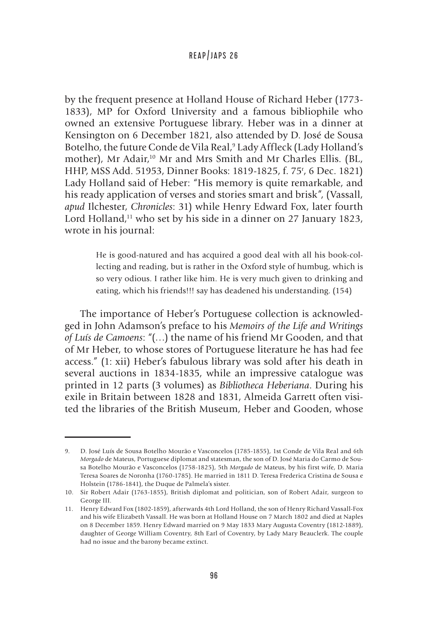by the frequent presence at Holland House of Richard Heber (1773- 1833), MP for Oxford University and a famous bibliophile who owned an extensive Portuguese library. Heber was in a dinner at Kensington on 6 December 1821, also attended by D. José de Sousa Botelho, the future Conde de Vila Real,9 Lady Affleck (Lady Holland's mother), Mr Adair,<sup>10</sup> Mr and Mrs Smith and Mr Charles Ellis. (BL, HHP, MSS Add. 51953, Dinner Books: 1819-1825, f. 75r , 6 Dec. 1821) Lady Holland said of Heber: "His memory is quite remarkable, and his ready application of verses and stories smart and brisk", (Vassall, *apud* Ilchester, *Chronicles*: 31) while Henry Edward Fox, later fourth Lord Holland, $11$  who set by his side in a dinner on 27 January 1823, wrote in his journal:

> He is good-natured and has acquired a good deal with all his book-collecting and reading, but is rather in the Oxford style of humbug, which is so very odious. I rather like him. He is very much given to drinking and eating, which his friends!!! say has deadened his understanding. (154)

The importance of Heber's Portuguese collection is acknowledged in John Adamson's preface to his *Memoirs of the Life and Writings of Luís de Camoens*: "(…) the name of his friend Mr Gooden, and that of Mr Heber, to whose stores of Portuguese literature he has had fee access." (1: xii) Heber's fabulous library was sold after his death in several auctions in 1834-1835, while an impressive catalogue was printed in 12 parts (3 volumes) as *Bibliotheca Heberiana*. During his exile in Britain between 1828 and 1831, Almeida Garrett often visited the libraries of the British Museum, Heber and Gooden, whose

<sup>9.</sup> D. José Luís de Sousa Botelho Mourão e Vasconcelos (1785-1855), 1st Conde de Vila Real and 6th *Morgado* de Mateus, Portuguese diplomat and statesman, the son of D. José Maria do Carmo de Sousa Botelho Mourão e Vasconcelos (1758-1825), 5th *Morgado* de Mateus, by his first wife, D. Maria Teresa Soares de Noronha (1760-1785). He married in 1811 D. Teresa Frederica Cristina de Sousa e Holstein (1786-1841), the Duque de Palmela's sister.

<sup>10.</sup> Sir Robert Adair (1763-1855), British diplomat and politician, son of Robert Adair, surgeon to George III.

<sup>11.</sup> Henry Edward Fox (1802-1859), afterwards 4th Lord Holland, the son of Henry Richard Vassall-Fox and his wife Elizabeth Vassall. He was born at Holland House on 7 March 1802 and died at Naples on 8 December 1859. Henry Edward married on 9 May 1833 Mary Augusta Coventry (1812-1889), daughter of George William Coventry, 8th Earl of Coventry, by Lady Mary Beauclerk. The couple had no issue and the barony became extinct.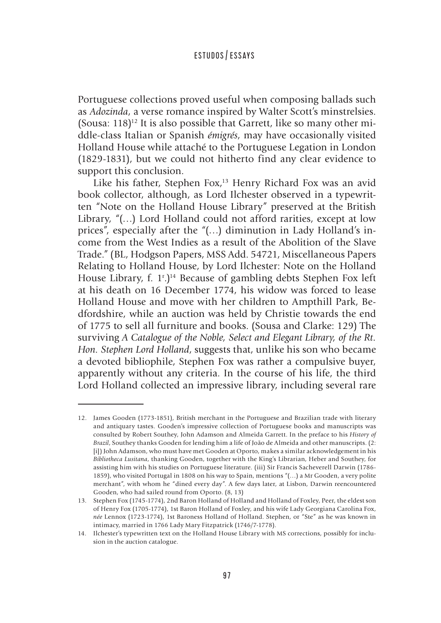Portuguese collections proved useful when composing ballads such as *Adozinda*, a verse romance inspired by Walter Scott's minstrelsies. (Sousa:  $118$ )<sup>12</sup> It is also possible that Garrett, like so many other middle-class Italian or Spanish *émigrés*, may have occasionally visited Holland House while attaché to the Portuguese Legation in London (1829-1831), but we could not hitherto find any clear evidence to support this conclusion.

Like his father, Stephen Fox,<sup>13</sup> Henry Richard Fox was an avid book collector, although, as Lord Ilchester observed in a typewritten "Note on the Holland House Library" preserved at the British Library, "(…) Lord Holland could not afford rarities, except at low prices", especially after the "(…) diminution in Lady Holland's income from the West Indies as a result of the Abolition of the Slave Trade." (BL, Hodgson Papers, MSS Add. 54721, Miscellaneous Papers Relating to Holland House, by Lord Ilchester: Note on the Holland House Library, f. 1<sup>r</sup>.)<sup>14</sup> Because of gambling debts Stephen Fox left at his death on 16 December 1774, his widow was forced to lease Holland House and move with her children to Ampthill Park, Bedfordshire, while an auction was held by Christie towards the end of 1775 to sell all furniture and books. (Sousa and Clarke: 129) The surviving *A Catalogue of the Noble, Select and Elegant Library, of the Rt. Hon. Stephen Lord Holland*, suggests that, unlike his son who became a devoted bibliophile, Stephen Fox was rather a compulsive buyer, apparently without any criteria. In the course of his life, the third Lord Holland collected an impressive library, including several rare

<sup>12.</sup> James Gooden (1773-1851), British merchant in the Portuguese and Brazilian trade with literary and antiquary tastes. Gooden's impressive collection of Portuguese books and manuscripts was consulted by Robert Southey, John Adamson and Almeida Garrett. In the preface to his *History of Brazil*, Southey thanks Gooden for lending him a life of João de Almeida and other manuscripts. (2: [i]) John Adamson, who must have met Gooden at Oporto, makes a similar acknowledgement in his *Bibliotheca Lusitana*, thanking Gooden, together with the King's Librarian, Heber and Southey, for assisting him with his studies on Portuguese literature. (iii) Sir Francis Sacheverell Darwin (1786- 1859), who visited Portugal in 1808 on his way to Spain, mentions "(…) a Mr Gooden, a very polite merchant", with whom he "dined every day". A few days later, at Lisbon, Darwin reencountered Gooden, who had sailed round from Oporto. (8, 13)

<sup>13.</sup> Stephen Fox (1745-1774), 2nd Baron Holland of Holland and Holland of Foxley, Peer, the eldest son of Henry Fox (1705-1774), 1st Baron Holland of Foxley, and his wife Lady Georgiana Carolina Fox, *née* Lennox (1723-1774), 1st Baroness Holland of Holland. Stephen, or "Ste" as he was known in intimacy, married in 1766 Lady Mary Fitzpatrick (1746/7-1778).

<sup>14.</sup> Ilchester's typewritten text on the Holland House Library with MS corrections, possibly for inclusion in the auction catalogue.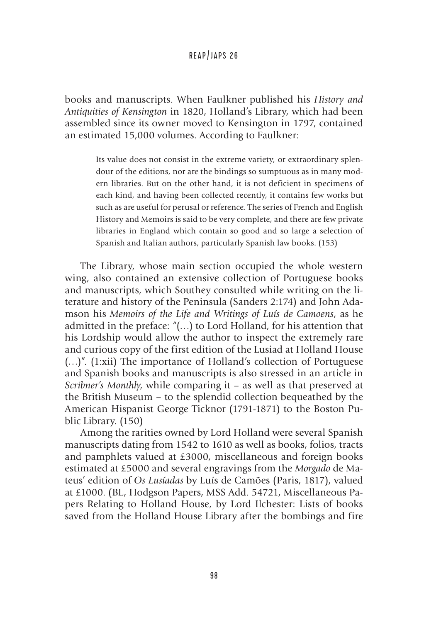books and manuscripts. When Faulkner published his *History and Antiquities of Kensington* in 1820, Holland's Library, which had been assembled since its owner moved to Kensington in 1797, contained an estimated 15,000 volumes. According to Faulkner:

> Its value does not consist in the extreme variety, or extraordinary splendour of the editions, nor are the bindings so sumptuous as in many modern libraries. But on the other hand, it is not deficient in specimens of each kind, and having been collected recently, it contains few works but such as are useful for perusal or reference. The series of French and English History and Memoirs is said to be very complete, and there are few private libraries in England which contain so good and so large a selection of Spanish and Italian authors, particularly Spanish law books. (153)

The Library, whose main section occupied the whole western wing, also contained an extensive collection of Portuguese books and manuscripts, which Southey consulted while writing on the literature and history of the Peninsula (Sanders 2:174) and John Adamson his *Memoirs of the Life and Writings of Luís de Camoens*, as he admitted in the preface: "(…) to Lord Holland, for his attention that his Lordship would allow the author to inspect the extremely rare and curious copy of the first edition of the Lusiad at Holland House (…)". (1:xii) The importance of Holland's collection of Portuguese and Spanish books and manuscripts is also stressed in an article in *Scribner's Monthly*, while comparing it – as well as that preserved at the British Museum – to the splendid collection bequeathed by the American Hispanist George Ticknor (1791-1871) to the Boston Public Library. (150)

Among the rarities owned by Lord Holland were several Spanish manuscripts dating from 1542 to 1610 as well as books, folios, tracts and pamphlets valued at £3000, miscellaneous and foreign books estimated at £5000 and several engravings from the *Morgado* de Mateus' edition of *Os Lusíadas* by Luís de Camões (Paris, 1817), valued at £1000. (BL, Hodgson Papers, MSS Add. 54721, Miscellaneous Papers Relating to Holland House, by Lord Ilchester: Lists of books saved from the Holland House Library after the bombings and fire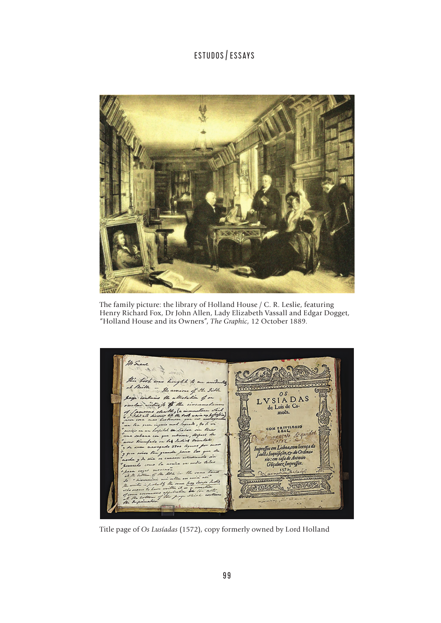

The family picture: the library of Holland House / C. R. Leslie, featuring Henry Richard Fox, Dr John Allen, Lady Elizabeth Vassall and Edgar Dogget, "Holland House and its Owners", *The Graphic*, 12 October 1889.

Marce this fort in  $-2$  $+ d \lambda$  to a faith źż.  $H. J: H.$  $\overline{0}$  s the allege in for VSIADAS the if it the de Luis de Camoés. con reivirais  $\epsilon$ mtine Let Indian or  $\overline{a}$  $\lambda$  $s_{ee}$   $a$ effos em Lisboa, com licença da npreffor en Lisboa,com licença a<br>fauctis Inquificão, es do Ordinas<br>rio : em cafa de Antonio<br>Göcaluez Impreffor.<br><u>Veccarracións</u> and is tales tt. Comments bay Joseph REDECES JENNESSE  $\overline{\mathcal{L}}$ Time inter

Title page of *Os Lusíadas* (1572), copy formerly owned by Lord Holland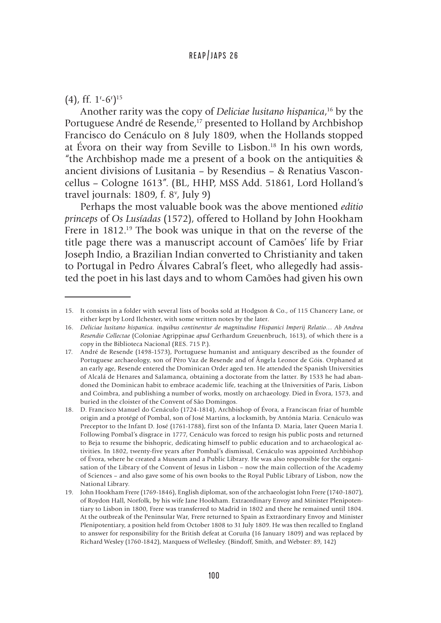#### $(4)$ , ff. 1<sup>r</sup>-6<sup>r</sup>)<sup>15</sup>

Another rarity was the copy of *Deliciae lusitano hispanica*, 16 by the Portuguese André de Resende,<sup>17</sup> presented to Holland by Archbishop Francisco do Cenáculo on 8 July 1809, when the Hollands stopped at Évora on their way from Seville to Lisbon.18 In his own words, "the Archbishop made me a present of a book on the antiquities & ancient divisions of Lusitania – by Resendius – & Renatius Vasconcellus – Cologne 1613". (BL, HHP, MSS Add. 51861, Lord Holland's travel journals: 1809, f. 8<sup>v</sup>, July 9)

Perhaps the most valuable book was the above mentioned *editio princeps* of *Os Lusíadas* (1572), offered to Holland by John Hookham Frere in 1812.<sup>19</sup> The book was unique in that on the reverse of the title page there was a manuscript account of Camões' life by Friar Joseph Indio, a Brazilian Indian converted to Christianity and taken to Portugal in Pedro Álvares Cabral's fleet, who allegedly had assisted the poet in his last days and to whom Camões had given his own

<sup>15.</sup> It consists in a folder with several lists of books sold at Hodgson & Co., of 115 Chancery Lane, or either kept by Lord Ilchester, with some written notes by the later.

<sup>16.</sup> *Deliciae lusitano hispanica. inquibus continentur de magnitudine Hispanici Imperij Relatio… Ab Andrea Resendio Collectae* (Coloniae Agrippinae *apud* Gerhardum Greuenbruch, 1613), of which there is a copy in the Biblioteca Nacional (RES. 715 P.).

<sup>17.</sup> André de Resende (1498-1573), Portuguese humanist and antiquary described as the founder of Portuguese archaeology, son of Pêro Vaz de Resende and of Ângela Leonor de Góis. Orphaned at an early age, Resende entered the Dominican Order aged ten. He attended the Spanish Universities of Alcalá de Henares and Salamanca, obtaining a doctorate from the latter. By 1533 he had abandoned the Dominican habit to embrace academic life, teaching at the Universities of Paris, Lisbon and Coimbra, and publishing a number of works, mostly on archaeology. Died in Évora, 1573, and buried in the cloister of the Convent of São Domingos.

<sup>18.</sup> D. Francisco Manuel do Cenáculo (1724-1814), Archbishop of Évora, a Franciscan friar of humble origin and a protégé of Pombal, son of José Martins, a locksmith, by Antónia Maria. Cenáculo was Preceptor to the Infant D. José (1761-1788), first son of the Infanta D. Maria, later Queen Maria I. Following Pombal's disgrace in 1777, Cenáculo was forced to resign his public posts and returned to Beja to resume the bishopric, dedicating himself to public education and to archaeological activities. In 1802, twenty-five years after Pombal's dismissal, Cenáculo was appointed Archbishop of Évora, where he created a Museum and a Public Library. He was also responsible for the organisation of the Library of the Convent of Jesus in Lisbon – now the main collection of the Academy of Sciences – and also gave some of his own books to the Royal Public Library of Lisbon, now the National Library.

<sup>19.</sup> John Hookham Frere (1769-1846), English diplomat, son of the archaeologist John Frere (1740-1807), of Roydon Hall, Norfolk, by his wife Jane Hookham. Extraordinary Envoy and Minister Plenipotentiary to Lisbon in 1800, Frere was transferred to Madrid in 1802 and there he remained until 1804. At the outbreak of the Peninsular War, Frere returned to Spain as Extraordinary Envoy and Minister Plenipotentiary, a position held from October 1808 to 31 July 1809. He was then recalled to England to answer for responsibility for the British defeat at Coruña (16 January 1809) and was replaced by Richard Wesley (1760-1842), Marquess of Wellesley. (Bindoff, Smith, and Webster: 89, 142)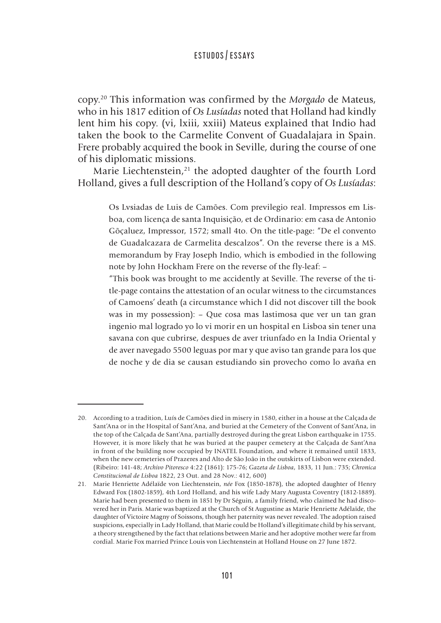copy.20 This information was confirmed by the *Morgado* de Mateus, who in his 1817 edition of *Os Lusíadas* noted that Holland had kindly lent him his copy. (vi, lxiii, xxiii) Mateus explained that Indio had taken the book to the Carmelite Convent of Guadalajara in Spain. Frere probably acquired the book in Seville, during the course of one of his diplomatic missions.

Marie Liechtenstein,<sup>21</sup> the adopted daughter of the fourth Lord Holland, gives a full description of the Holland's copy of *Os Lusíadas*:

> Os Lvsiadas de Luis de Camões. Com previlegio real. Impressos em Lisboa, com licença de santa Inquisição, et de Ordinario: em casa de Antonio Gõçaluez, Impressor, 1572; small 4to. On the title-page: "De el convento de Guadalcazara de Carmelita descalzos". On the reverse there is a MS. memorandum by Fray Joseph Indio, which is embodied in the following note by John Hockham Frere on the reverse of the fly-leaf: –

> "This book was brought to me accidently at Seville. The reverse of the title-page contains the attestation of an ocular witness to the circumstances of Camoens' death (a circumstance which I did not discover till the book was in my possession): – Que cosa mas lastimosa que ver un tan gran ingenio mal logrado yo lo vi morir en un hospital en Lisboa sin tener una savana con que cubrirse, despues de aver triunfado en la India Oriental y de aver navegado 5500 leguas por mar y que aviso tan grande para los que de noche y de dia se causan estudiando sin provecho como lo avaña en

<sup>20.</sup> According to a tradition, Luís de Camões died in misery in 1580, either in a house at the Calçada de Sant'Ana or in the Hospital of Sant'Ana, and buried at the Cemetery of the Convent of Sant'Ana, in the top of the Calçada de Sant'Ana, partially destroyed during the great Lisbon earthquake in 1755. However, it is more likely that he was buried at the pauper cemetery at the Calçada de Sant'Ana in front of the building now occupied by INATEL Foundation, and where it remained until 1833, when the new cemeteries of Prazeres and Alto de São João in the outskirts of Lisbon were extended. (Ribeiro: 141-48; *Archivo Pitoresco* 4:22 (1861): 175-76; *Gazeta de Lisboa*, 1833, 11 Jun.: 735; *Chronica Constitucional de Lisboa* 1822, 23 Out. and 28 Nov.: 412, 600)

<sup>21.</sup> Marie Henriette Adélaïde von Liechtenstein, *née* Fox (1850-1878), the adopted daughter of Henry Edward Fox (1802-1859), 4th Lord Holland, and his wife Lady Mary Augusta Coventry (1812-1889). Marie had been presented to them in 1851 by Dr Séguin, a family friend, who claimed he had discovered her in Paris. Marie was baptized at the Church of St Augustine as Marie Henriette Adélaïde, the daughter of Victoire Magny of Soissons, though her paternity was never revealed. The adoption raised suspicions, especially in Lady Holland, that Marie could be Holland's illegitimate child by his servant, a theory strengthened by the fact that relations between Marie and her adoptive mother were far from cordial. Marie Fox married Prince Louis von Liechtenstein at Holland House on 27 June 1872.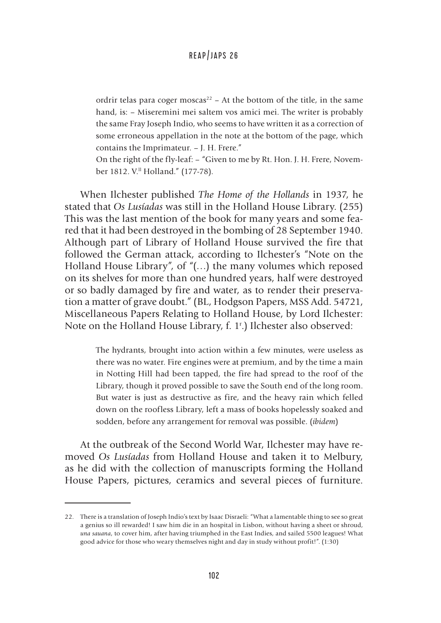ordrir telas para coger moscas<sup>22</sup> – At the bottom of the title, in the same hand, is: – Miseremini mei saltem vos amici mei. The writer is probably the same Fray Joseph Indio, who seems to have written it as a correction of some erroneous appellation in the note at the bottom of the page, which contains the Imprimateur. – J. H. Frere."

On the right of the fly-leaf: – "Given to me by Rt. Hon. J. H. Frere, November 1812. V.ll Holland." (177-78).

When Ilchester published *The Home of the Hollands* in 1937, he stated that *Os Lusíadas* was still in the Holland House Library. (255) This was the last mention of the book for many years and some feared that it had been destroyed in the bombing of 28 September 1940. Although part of Library of Holland House survived the fire that followed the German attack, according to Ilchester's "Note on the Holland House Library", of "(…) the many volumes which reposed on its shelves for more than one hundred years, half were destroyed or so badly damaged by fire and water, as to render their preservation a matter of grave doubt." (BL, Hodgson Papers, MSS Add. 54721, Miscellaneous Papers Relating to Holland House, by Lord Ilchester: Note on the Holland House Library, f. 1r .) Ilchester also observed:

> The hydrants, brought into action within a few minutes, were useless as there was no water. Fire engines were at premium, and by the time a main in Notting Hill had been tapped, the fire had spread to the roof of the Library, though it proved possible to save the South end of the long room. But water is just as destructive as fire, and the heavy rain which felled down on the roofless Library, left a mass of books hopelessly soaked and sodden, before any arrangement for removal was possible. (*ibidem*)

At the outbreak of the Second World War, Ilchester may have removed *Os Lusíadas* from Holland House and taken it to Melbury, as he did with the collection of manuscripts forming the Holland House Papers, pictures, ceramics and several pieces of furniture.

<sup>22.</sup> There is a translation of Joseph Indio's text by Isaac Disraeli: "What a lamentable thing to see so great a genius so ill rewarded! I saw him die in an hospital in Lisbon, without having a sheet or shroud, *una sauana*, to cover him, after having triumphed in the East Indies, and sailed 5500 leagues! What good advice for those who weary themselves night and day in study without profit!". (1:30)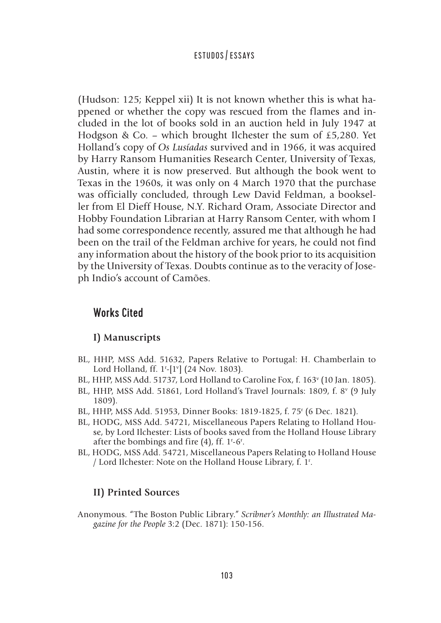(Hudson: 125; Keppel xii) It is not known whether this is what happened or whether the copy was rescued from the flames and included in the lot of books sold in an auction held in July 1947 at Hodgson & Co. – which brought Ilchester the sum of £5,280. Yet Holland's copy of *Os Lusíadas* survived and in 1966, it was acquired by Harry Ransom Humanities Research Center, University of Texas, Austin, where it is now preserved. But although the book went to Texas in the 1960s, it was only on 4 March 1970 that the purchase was officially concluded, through Lew David Feldman, a bookseller from El Dieff House, N.Y. Richard Oram, Associate Director and Hobby Foundation Librarian at Harry Ransom Center, with whom I had some correspondence recently, assured me that although he had been on the trail of the Feldman archive for years, he could not find any information about the history of the book prior to its acquisition by the University of Texas. Doubts continue as to the veracity of Joseph Indio's account of Camões.

## Works Cited

## **I) Manuscripts**

- BL, HHP, MSS Add. 51632, Papers Relative to Portugal: H. Chamberlain to Lord Holland, ff. 1<sup>r</sup>-[1<sup>v</sup>] (24 Nov. 1803).
- BL, HHP, MSS Add. 51737, Lord Holland to Caroline Fox, f. 163<sup>v</sup> (10 Jan. 1805).
- BL, HHP, MSS Add. 51861, Lord Holland's Travel Journals: 1809, f. 8<sup>v</sup> (9 July 1809).
- BL, HHP, MSS Add. 51953, Dinner Books: 1819-1825, f. 75r (6 Dec. 1821).
- BL, HODG, MSS Add. 54721, Miscellaneous Papers Relating to Holland House, by Lord Ilchester: Lists of books saved from the Holland House Library after the bombings and fire  $(4)$ , ff. 1<sup>r</sup>-6<sup>r</sup>.
- BL, HODG, MSS Add. 54721, Miscellaneous Papers Relating to Holland House / Lord Ilchester: Note on the Holland House Library, f. 1r .

## **II) Printed Source**s

Anonymous. "The Boston Public Library." *Scribner's Monthly: an Illustrated Magazine for the People* 3:2 (Dec. 1871): 150-156.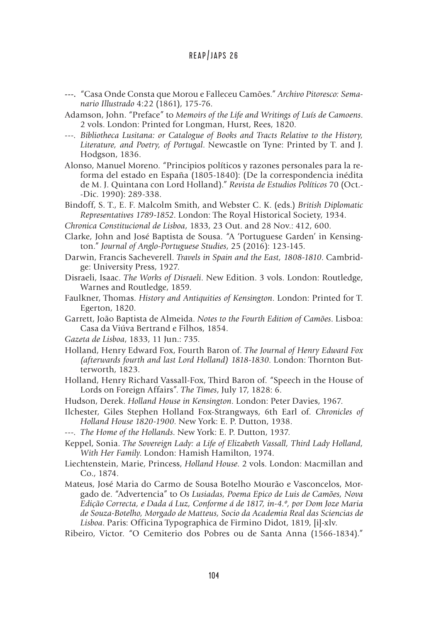- **---.** "Casa Onde Consta que Morou e Falleceu Camões." *Archivo Pitoresco: Semanario Illustrado* 4:22 (1861), 175-76.
- Adamson, John. "Preface" to *Memoirs of the Life and Writings of Luís de Camoens*. 2 vols. London: Printed for Longman, Hurst, Rees, 1820.
- ---. *Bibliotheca Lusitana: or Catalogue of Books and Tracts Relative to the History, Literature, and Poetry, of Portugal*. Newcastle on Tyne: Printed by T. and J. Hodgson, 1836.

Alonso, Manuel Moreno. "Principios políticos y razones personales para la reforma del estado en España (1805-1840): (De la correspondencia inédita de M. J. Quintana con Lord Holland)." *Revista de Estudios Políticos* 70 (Oct.- -Dic. 1990): 289-338.

Bindoff, S. T., E. F. Malcolm Smith, and Webster C. K. (eds.) *British Diplomatic Representatives 1789-1852*. London: The Royal Historical Society, 1934.

*Chronica Constitucional de Lisboa*, 1833, 23 Out. and 28 Nov.: 412, 600.

- Clarke, John and José Baptista de Sousa. "A 'Portuguese Garden' in Kensington." *Journal of Anglo-Portuguese Studies*, 25 (2016): 123-145.
- Darwin, Francis Sacheverell. *Travels in Spain and the East, 1808-1810*. Cambridge: University Press, 1927.
- Disraeli, Isaac. *The Works of Disraeli*. New Edition. 3 vols. London: Routledge, Warnes and Routledge, 1859.
- Faulkner, Thomas. *History and Antiquities of Kensington*. London: Printed for T. Egerton, 1820.
- Garrett, João Baptista de Almeida. *Notes to the Fourth Edition of Camões*. Lisboa: Casa da Viúva Bertrand e Filhos, 1854.
- *Gazeta de Lisboa*, 1833, 11 Jun.: 735.
- Holland, Henry Edward Fox, Fourth Baron of. *The Journal of Henry Edward Fox (afterwards fourth and last Lord Holland) 1818-1830*. London: Thornton Butterworth, 1823.
- Holland, Henry Richard Vassall-Fox, Third Baron of. "Speech in the House of Lords on Foreign Affairs". *The Times*, July 17, 1828: 6.
- Hudson, Derek. *Holland House in Kensington*. London: Peter Davies, 1967.
- Ilchester, Giles Stephen Holland Fox-Strangways, 6th Earl of. *Chronicles of Holland House 1820-1900*. New York: E. P. Dutton, 1938.
- ---. *The Home of the Hollands*. New York: E. P. Dutton, 1937.
- Keppel, Sonia. *The Sovereign Lady: a Life of Elizabeth Vassall, Third Lady Holland, With Her Family*. London: Hamish Hamilton, 1974.
- Liechtenstein, Marie, Princess, *Holland House*. 2 vols. London: Macmillan and Co., 1874.
- Mateus, José Maria do Carmo de Sousa Botelho Mourão e Vasconcelos, Morgado de. "Advertencia" to *Os Lusiadas, Poema Epico de Luis de Camões, Nova Edição Correcta, e Dada á Luz, Conforme á de 1817, in-4.º, por Dom Joze Maria de Souza-Botelho, Morgado de Matteus, Socio da Academia Real das Sciencias de Lisboa*. Paris: Officina Typographica de Firmino Didot, 1819, [i]-xlv.
- Ribeiro, Victor. "O Cemiterio dos Pobres ou de Santa Anna (1566-1834)."